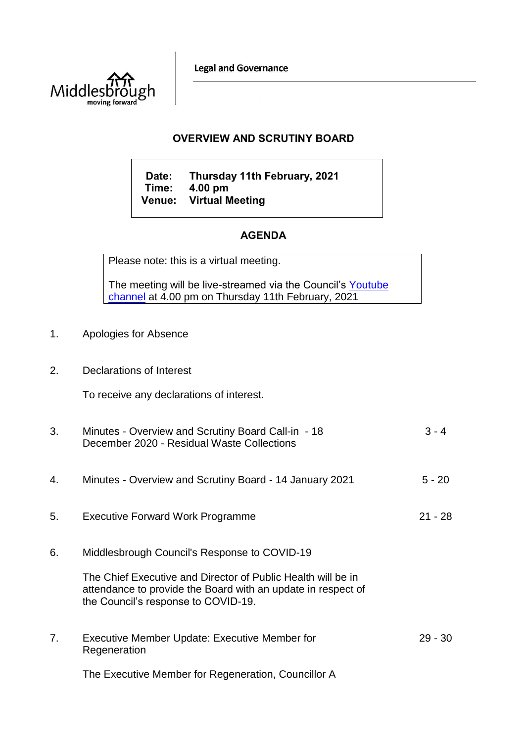**Legal and Governance** 



## **OVERVIEW AND SCRUTINY BOARD**

**Date: Thursday 11th February, 2021 Time: 4.00 pm Venue: Virtual Meeting**

# **AGENDA**

Please note: this is a virtual meeting.

The meeting will be live-streamed via the Council's Youtube [channel](https://www.youtube.com/user/middlesbroughcouncil) at 4.00 pm on Thursday 11th February, 2021

- 1. Apologies for Absence
- 2. Declarations of Interest

To receive any declarations of interest.

| 3. | Minutes - Overview and Scrutiny Board Call-in - 18<br>December 2020 - Residual Waste Collections                                                                    | $3 - 4$   |
|----|---------------------------------------------------------------------------------------------------------------------------------------------------------------------|-----------|
| 4. | Minutes - Overview and Scrutiny Board - 14 January 2021                                                                                                             | $5 - 20$  |
| 5. | <b>Executive Forward Work Programme</b>                                                                                                                             | $21 - 28$ |
| 6. | Middlesbrough Council's Response to COVID-19                                                                                                                        |           |
|    | The Chief Executive and Director of Public Health will be in<br>attendance to provide the Board with an update in respect of<br>the Council's response to COVID-19. |           |
| 7. | Executive Member Update: Executive Member for<br>Regeneration                                                                                                       | $29 - 30$ |
|    | The Executive Member for Regeneration, Councillor A                                                                                                                 |           |